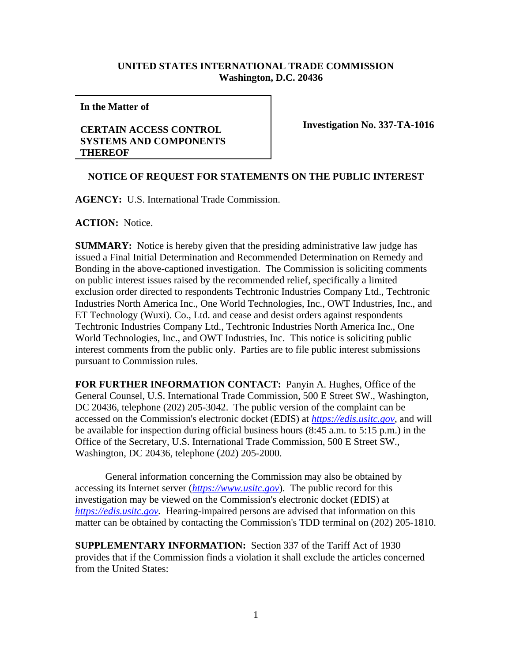## **UNITED STATES INTERNATIONAL TRADE COMMISSION Washington, D.C. 20436**

**In the Matter of** 

## **CERTAIN ACCESS CONTROL SYSTEMS AND COMPONENTS THEREOF**

**Investigation No. 337-TA-1016** 

## **NOTICE OF REQUEST FOR STATEMENTS ON THE PUBLIC INTEREST**

**AGENCY:** U.S. International Trade Commission.

**ACTION:** Notice.

**SUMMARY:** Notice is hereby given that the presiding administrative law judge has issued a Final Initial Determination and Recommended Determination on Remedy and Bonding in the above-captioned investigation. The Commission is soliciting comments on public interest issues raised by the recommended relief, specifically a limited exclusion order directed to respondents Techtronic Industries Company Ltd., Techtronic Industries North America Inc., One World Technologies, Inc., OWT Industries, Inc., and ET Technology (Wuxi). Co., Ltd. and cease and desist orders against respondents Techtronic Industries Company Ltd., Techtronic Industries North America Inc., One World Technologies, Inc., and OWT Industries, Inc. This notice is soliciting public interest comments from the public only. Parties are to file public interest submissions pursuant to Commission rules.

**FOR FURTHER INFORMATION CONTACT:** Panyin A. Hughes, Office of the General Counsel, U.S. International Trade Commission, 500 E Street SW., Washington, DC 20436, telephone (202) 205-3042. The public version of the complaint can be accessed on the Commission's electronic docket (EDIS) at *https://edis.usitc.gov*, and will be available for inspection during official business hours (8:45 a.m. to 5:15 p.m.) in the Office of the Secretary, U.S. International Trade Commission, 500 E Street SW., Washington, DC 20436, telephone (202) 205-2000.

General information concerning the Commission may also be obtained by accessing its Internet server (*https://www.usitc.gov*). The public record for this investigation may be viewed on the Commission's electronic docket (EDIS) at *https://edis.usitc.gov.* Hearing-impaired persons are advised that information on this matter can be obtained by contacting the Commission's TDD terminal on (202) 205-1810.

**SUPPLEMENTARY INFORMATION:** Section 337 of the Tariff Act of 1930 provides that if the Commission finds a violation it shall exclude the articles concerned from the United States: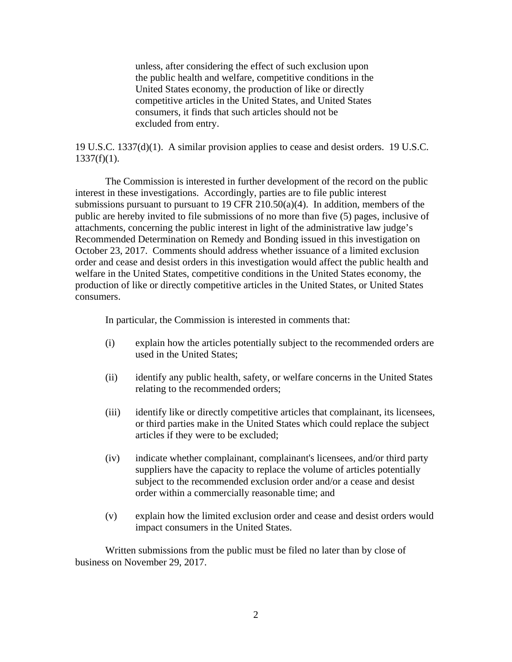unless, after considering the effect of such exclusion upon the public health and welfare, competitive conditions in the United States economy, the production of like or directly competitive articles in the United States, and United States consumers, it finds that such articles should not be excluded from entry.

19 U.S.C. 1337(d)(1). A similar provision applies to cease and desist orders. 19 U.S.C.  $1337(f)(1)$ .

The Commission is interested in further development of the record on the public interest in these investigations. Accordingly, parties are to file public interest submissions pursuant to pursuant to 19 CFR 210.50(a)(4). In addition, members of the public are hereby invited to file submissions of no more than five (5) pages, inclusive of attachments, concerning the public interest in light of the administrative law judge's Recommended Determination on Remedy and Bonding issued in this investigation on October 23, 2017. Comments should address whether issuance of a limited exclusion order and cease and desist orders in this investigation would affect the public health and welfare in the United States, competitive conditions in the United States economy, the production of like or directly competitive articles in the United States, or United States consumers.

In particular, the Commission is interested in comments that:

- (i) explain how the articles potentially subject to the recommended orders are used in the United States;
- (ii) identify any public health, safety, or welfare concerns in the United States relating to the recommended orders;
- (iii) identify like or directly competitive articles that complainant, its licensees, or third parties make in the United States which could replace the subject articles if they were to be excluded;
- (iv) indicate whether complainant, complainant's licensees, and/or third party suppliers have the capacity to replace the volume of articles potentially subject to the recommended exclusion order and/or a cease and desist order within a commercially reasonable time; and
- (v) explain how the limited exclusion order and cease and desist orders would impact consumers in the United States.

Written submissions from the public must be filed no later than by close of business on November 29, 2017.